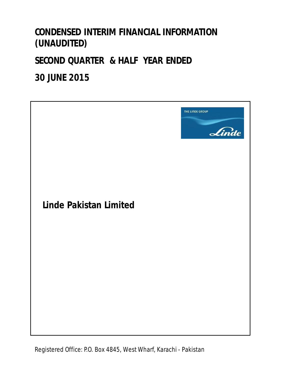# **CONDENSED INTERIM FINANCIAL INFORMATION (UNAUDITED)**

# **SECOND QUARTER & HALF YEAR ENDED**

# **30 JUNE 2015**

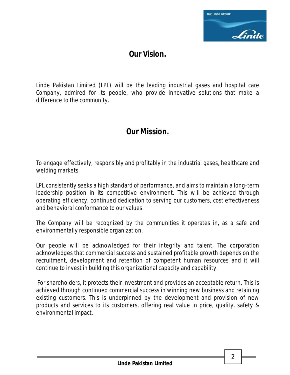

## **Our Vision.**

Linde Pakistan Limited (LPL) will be the leading industrial gases and hospital care Company, admired for its people, who provide innovative solutions that make a difference to the community.

## **Our Mission.**

To engage effectively, responsibly and profitably in the industrial gases, healthcare and welding markets.

LPL consistently seeks a high standard of performance, and aims to maintain a long-term leadership position in its competitive environment. This will be achieved through operating efficiency, continued dedication to serving our customers, cost effectiveness and behavioral conformance to our values.

The Company will be recognized by the communities it operates in, as a safe and environmentally responsible organization.

Our people will be acknowledged for their integrity and talent. The corporation acknowledges that commercial success and sustained profitable growth depends on the recruitment, development and retention of competent human resources and it will continue to invest in building this organizational capacity and capability.

 For shareholders, it protects their investment and provides an acceptable return. This is achieved through continued commercial success in winning new business and retaining existing customers. This is underpinned by the development and provision of new products and services to its customers, offering real value in price, quality, safety & environmental impact.

2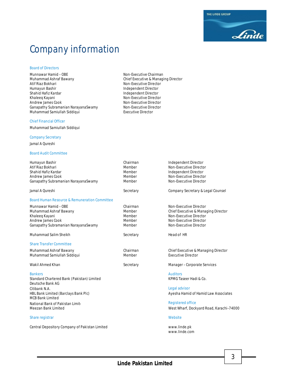**Linde Pakistan Limited**

www.linde.com

# Company information

#### Board of Directors

Munnawar Hamid – OBE Non-Executive Chairman Muhammad Ashraf Bawany Chief Executive & Managing Director Atif Riaz Bokhari Non-Executive Director Humayun Bashir Independent Director Shahid Hafiz Kardar Independent Director Andrew James Cook<br>
Ganapathy Subramanian NarayanaSwamy Non-Executive Director Ganapathy Subramanian NarayanaSwamy Non-Executive Director<br>Muhammad Samiullah Siddiqui Non-Executive Director Muhammad Samiullah Siddiqui

#### Chief Financial Officer

Muhammad Samiullah Siddiqui

#### Company Secretary

Jamal A Qureshi

#### Board Audit Committee

| Humayun Bashir                                | Chairman  | Independent Director                     |
|-----------------------------------------------|-----------|------------------------------------------|
| Atif Riaz Bokhari                             | Member    | Non-Executive Director                   |
| Shahid Hafiz Kardar                           | Member    | Independent Director                     |
| Andrew James Cook                             | Member    | Non-Executive Director                   |
| Ganapathy Subramanian NarayanaSwamy           | Member    | Non-Executive Director                   |
| Jamal A Oureshi                               | Secretary | Company Secretary & Legal Counsel        |
| Board Human Resource & Remuneration Committee |           |                                          |
| Munnawar Hamid - OBE                          | Chairman  | Non-Executive Director                   |
| Muhammad Ashraf Bawany                        | Member    | Chief Executive & Managing Director      |
| Khaleeq Kayani                                | Member    | Non-Executive Director                   |
| Andrew James Cook                             | Member    | Non-Executive Director                   |
| Ganapathy Subramanian NarayanaSwamy           | Member    | Non-Executive Director                   |
| Muhammad Salim Sheikh                         | Secretary | Head of HR                               |
|                                               |           |                                          |
| <b>Share Transfer Committee</b>               |           |                                          |
| Muhammad Ashraf Bawany                        | Chairman  | Chief Executive & Managing Director      |
| Muhammad Samiullah Siddiqui                   | Member    | <b>Executive Director</b>                |
| Wakil Ahmed Khan                              | Secretary | Manager - Corporate Services             |
|                                               |           |                                          |
| <b>Bankers</b>                                |           | <b>Auditors</b>                          |
| Standard Chartered Bank (Pakistan) Limited    |           | KPMG Taseer Hadi & Co.                   |
| Deutsche Bank AG                              |           |                                          |
| Citibank N.A.                                 |           | Legal advisor                            |
| HBL Bank Limited (Barclays Bank Plc)          |           | Ayesha Hamid of Hamid Law Associates     |
| <b>MCB Bank Limited</b>                       |           |                                          |
| National Bank of Pakistan Limit               |           | <b>Registered office</b>                 |
| Meezan Bank Limited                           |           | West Wharf, Dockyard Road, Karachi-74000 |
|                                               |           |                                          |

#### Share registrar Website and Share registrar Website and Share registrar Website

Central Depository Company of Pakistan Limited www.linde.pk

**Non-Executive Director** 

THE LINDE GROUP Linde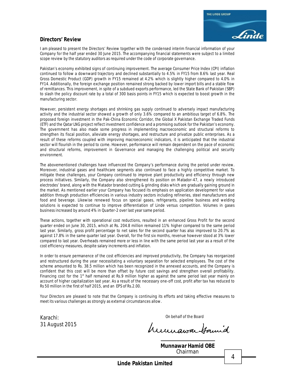### **Directors' Review**

I am pleased to present the Directors' Review together with the condensed interim financial information of your Company for the half year ended 30 June 2015. The accompanying financial statements were subject to a limited scope review by the statutory auditors as required under the code of corporate governance.

Pakistan's economy exhibited signs of continuing improvement. The average Consumer Price Index (CPI) inflation continued to follow a downward trajectory and declined substantially to 4.5% in FY15 from 8.6% last year. Real Gross Domestic Product (GDP) growth in FY15 remained at 4.2% which is slightly higher compared to 4.0% in FY14. Additionally, the foreign exchange position remained strong backed by lower import bills and a stable flow of remittances. This improvement, in spite of a subdued exports performance, led the State Bank of Pakistan (SBP) to slash the policy discount rate by a total of 300 basis points in FY15 which is expected to boost growth in the manufacturing sector.

However, persistent energy shortages and shrinking gas supply continued to adversely impact manufacturing activity and the industrial sector showed a growth of only 3.6% compared to an ambitious target of 6.8%. The proposed foreign investment in the Pak-China Economic Corridor, the Global X Pakistan Exchange Traded Funds (ETF) and the Qatar LNG project reflect investment confidence and a promising outlook for the Pakistan's economy. The government has also made some progress in implementing macroeconomic and structural reforms to strengthen its fiscal position, alleviate energy shortages, and restructure and privatize public enterprises. As a result of these reforms coupled with improving macroeconomic indicators, it is anticipated that the industrial sector will flourish in the period to come. However, performance will remain dependent on the pace of economic and structural reforms, improvement in Governance and managing the challenging political and security environment.

The abovementioned challenges have influenced the Company's performance during the period under review. Moreover, industrial gases and healthcare segments also continued to face a highly competitive market. To mitigate these challenges, your Company continued to improve plant productivity and efficiency through new process initiatives. Similarly, the Company also strengthened its position on Matador-47, a newly introduced electrodes' brand, along with the Matador branded cutting & grinding disks which are gradually gaining ground in the market. As mentioned earlier your Company has focused its emphasis on application development for value addition through production efficiencies in various industry sectors including refineries, steel manufacturers and food and beverage. Likewise renewed focus on special gases, refrigerants, pipeline business and welding solutions is expected to continue to improve differentiation of Linde versus competition. Volumes in gases business increased by around 4% in Quarter-2 over last year same period.

These actions, together with operational cost reductions, resulted in an enhanced Gross Profit for the second quarter ended on June 30, 2015, which at Rs. 204.8 million remained 11% higher compared to the same period last year. Similarly, gross profit percentage to net sales for the second quarter has also improved to 20.7% as against 17.8% in the same quarter last year. Overall, for the first six months, revenue however stood at 3% lower compared to last year. Overheads remained more or less in line with the same period last year as a result of the cost efficiency measures, despite salary increments and inflation.

In order to ensure permanence of the cost efficiencies and improved productivity, the Company has reorganized and restructured during the year necessitating a voluntary separation for selected employees. The cost of the scheme amounted to Rs. 38.5 million which has been recognized in the annexed accounts, and the Company is confident that this cost will be more than offset by future cost savings and strengthen overall profitability. Financing cost for the  $1<sup>st</sup>$  half remained at Rs.9 million higher as against the same period last year mainly on account of higher capitalization last year. As a result of the necessary one-off cost, profit after tax has reduced to Rs 50 million in the first of half 2015, and an EPS of Rs.2.00.

Your Directors are pleased to note that the Company is continuing its efforts and taking effective measures to meet its various challenges as strongly as external circumstances allow.

Karachi: Carachi: Carachi: Carachi: Carachi: Carachi: Carachi: Carachi: Carachi: Carachi: Carachi: Carachi: Carachi: Carachi: Carachi: Carachi: Carachi: Carachi: Carachi: Carachi: Carachi: Carachi: Carachi: Carachi: Carach 31 August 2015

rumawa famid

**Munnawar Hamid OBE** Chairman

4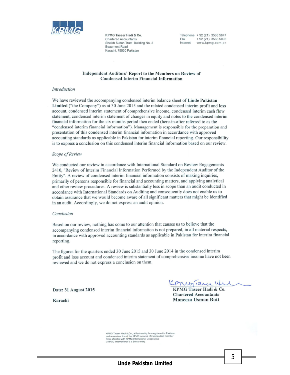

KPMG Taseer Hadi & Co. **Chartered Accountants** Sheikh Sultan Trust Building No. 2 **Beaumont Road** Karachi, 75530 Pakistan

Telephone + 92 (21) 3568 5847 Fax  $+92(21)$  3568 5095 Internet www.kpmg.com.pk

#### Independent Auditors' Report to the Members on Review of **Condensed Interim Financial Information**

#### Introduction

We have reviewed the accompanying condensed interim balance sheet of Linde Pakistan Limited ("the Company") as at 30 June 2015 and the related condensed interim profit and loss account, condensed interim statement of comprehensive income, condensed interim cash flow statement, condensed interim statement of changes in equity and notes to the condensed interim financial information for the six months period then ended (here-in-after referred to as the "condensed interim financial information"). Management is responsible for the preparation and presentation of this condensed interim financial information in accordance with approved accounting standards as applicable in Pakistan for interim financial reporting. Our responsibility is to express a conclusion on this condensed interim financial information based on our review.

#### Scope of Review

We conducted our review in accordance with International Standard on Review Engagements 2410, "Review of Interim Financial Information Performed by the Independent Auditor of the Entity". A review of condensed interim financial information consists of making inquiries, primarily of persons responsible for financial and accounting matters, and applying analytical and other review procedures. A review is substantially less in scope than an audit conducted in accordance with International Standards on Auditing and consequently does not enable us to obtain assurance that we would become aware of all significant matters that might be identified in an audit. Accordingly, we do not express an audit opinion.

#### Conclusion

Based on our review, nothing has come to our attention that causes us to believe that the accompanying condensed interim financial information is not prepared, in all material respects, in accordance with approved accounting standards as applicable in Pakistan for interim financial reporting.

The figures for the quarters ended 30 June 2015 and 30 June 2014 in the condensed interim profit and loss account and condensed interim statement of comprehensive income have not been reviewed and we do not express a conclusion on them.

Date: 31 August 2015

Karachi

Konigiana Iti

KPMG Taseer Hadi & Co. **Chartered Accountants** Moneeza Usman Butt

KPMG Taseer Hadi & Co., a Partnership firm registered in Pakistan<br>and a member firm of the KPMG network of independent member<br>firms affiliated with KPMG International Cooperative ("KPMG International"), a Swiss entity

5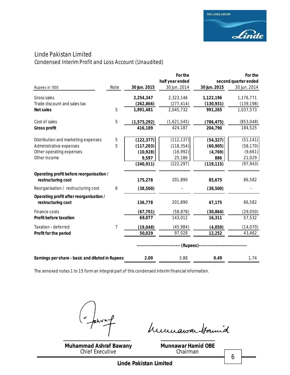### Linde Pakistan Limited Condensed Interim Profit and Loss Account *(Unaudited)*

|                                                  |                |              | For the         |              | For the              |
|--------------------------------------------------|----------------|--------------|-----------------|--------------|----------------------|
|                                                  |                |              | half year ended |              | second quarter ended |
| Rupees in '000                                   | Note           | 30 Jun. 2015 | 30 Jun. 2014    | 30 Jun. 2015 | 30 Jun. 2014         |
| Gross sales                                      |                | 2,254,347    | 2,323,146       | 1,122,196    | 1,176,771            |
| Trade discount and sales tax                     |                | (262, 866)   | (277, 414)      | (130, 931)   | (139, 198)           |
| <b>Net sales</b>                                 | 5              | 1,991,481    | 2,045,732       | 991,265      | 1,037,573            |
| Cost of sales                                    | 5              | (1,575,292)  | (1,621,545)     | (786, 475)   | (853, 048)           |
| <b>Gross profit</b>                              |                | 416,189      | 424,187         | 204,790      | 184,525              |
| Distribution and marketing expenses              | 5              | (122, 377)   | (112, 137)      | (54, 327)    | (51, 141)            |
| Administrative expenses                          | 5              | (117, 203)   | (118, 354)      | (60, 905)    | (58, 170)            |
| Other operating expenses                         |                | (10, 928)    | (16, 992)       | (4, 769)     | (9,661)              |
| Other income                                     |                | 9,597        | 25,186          | 886          | 21,029               |
|                                                  |                | (240, 911)   | (222, 297)      | (119, 115)   | (97, 943)            |
| Operating profit before reorganisation /         |                |              |                 |              |                      |
| restructuring cost                               |                | 175,278      | 201,890         | 85,675       | 86,582               |
| Reorganisation / restructuring cost              | 6              | (38,500)     |                 | (38,500)     |                      |
| Operating profit after reorganisation /          |                |              |                 |              |                      |
| restructuring cost                               |                | 136,778      | 201,890         | 47,175       | 86,582               |
| Finance costs                                    |                | (67, 701)    | (58, 878)       | (30, 864)    | (29,050)             |
| <b>Profit before taxation</b>                    |                | 69,077       | 143,012         | 16,311       | 57,532               |
| Taxation - deferred                              | $\overline{7}$ | (19, 048)    | (45, 984)       | (4,059)      | (14, 070)            |
| Profit for the period                            |                | 50,029       | 97,028          | 12,252       | 43,462               |
|                                                  |                |              | (Rupees)--      |              |                      |
|                                                  |                |              |                 |              |                      |
| Earnings per share - basic and diluted in Rupees |                | 2.00         | 3.88            | 0.49         | 1.74                 |

The annexed notes 1 to 15 form an integral part of this condensed interim financial information.

 $hr^{-1}$ 

**Muhammad Ashraf Bawany** Chief Executive

humawa Hamid

**Munnawar Hamid OBE** Chairman

6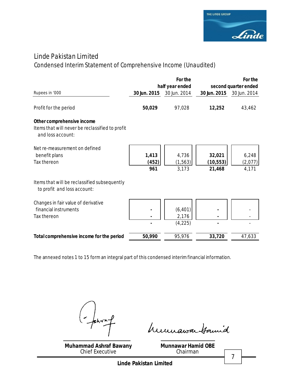

## Linde Pakistan Limited

## Condensed Interim Statement of Comprehensive Income *(Unaudited)*

|                                                                                                    |                       | For the<br>half year ended    |                               | For the<br>second quarter ended |
|----------------------------------------------------------------------------------------------------|-----------------------|-------------------------------|-------------------------------|---------------------------------|
| Rupees in '000                                                                                     | 30 Jun. 2015          | 30 Jun. 2014                  | 30 Jun. 2015                  | 30 Jun. 2014                    |
| Profit for the period                                                                              | 50,029                | 97,028                        | 12,252                        | 43,462                          |
| Other comprehensive income<br>Items that will never be reclassified to profit<br>and loss account: |                       |                               |                               |                                 |
| Net re-measurement on defined<br>benefit plans<br>Tax thereon                                      | 1,413<br>(452)<br>961 | 4,736<br>(1, 563)<br>3,173    | 32,021<br>(10, 553)<br>21,468 | 6,248<br>(2,077)<br>4,171       |
| Items that will be reclassified subsequently<br>to profit and loss account:                        |                       |                               |                               |                                 |
| Changes in fair value of derivative<br>financial instruments<br>Tax thereon                        |                       | (6, 401)<br>2,176<br>(4, 225) |                               |                                 |
| Total comprehensive income for the period                                                          | 50,990                | 95,976                        | 33,720                        | 47,633                          |

The annexed notes 1 to 15 form an integral part of this condensed interim financial information.

 $hr1$ 

**Muhammad Ashraf Bawany** Chief Executive

humawa tamid

**Munnawar Hamid OBE** Chairman

7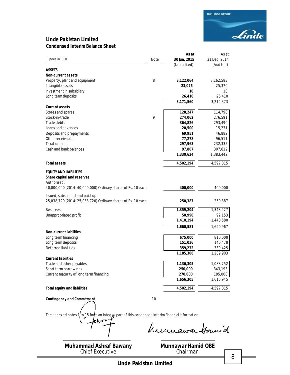### **Linde Pakistan Limited Condensed Interim Balance Sheet**

|                                                                                                    |      | As at              | As at              |
|----------------------------------------------------------------------------------------------------|------|--------------------|--------------------|
| Rupees in '000                                                                                     | Note | 30 Jun. 2015       | 31 Dec. 2014       |
|                                                                                                    |      | (Unaudited)        | (Audited)          |
| ASSETS                                                                                             |      |                    |                    |
| <b>Non-current assets</b>                                                                          |      |                    |                    |
| Property, plant and equipment                                                                      | 8    | 3,122,064          | 3,162,583          |
| Intangible assets                                                                                  |      | 23,076             | 25,370             |
| Investment in subsidiary                                                                           |      | 10                 | 10                 |
| Long term deposits                                                                                 |      | 26,410             | 26,410             |
|                                                                                                    |      | 3,171,560          | 3,214,373          |
| <b>Current assets</b>                                                                              |      |                    |                    |
| Stores and spares                                                                                  |      | 128,247            | 114,790            |
| Stock-in-trade                                                                                     | 9    | 274,062            | 276,591            |
| Trade debts                                                                                        |      | 364,826            | 293,490            |
| Loans and advances                                                                                 |      | 20,500             | 15,231             |
| Deposits and prepayments                                                                           |      | 69,951             | 46,882             |
| Other receivables                                                                                  |      | 77,278             | 96,511             |
| Taxation - net                                                                                     |      | 297,963            | 232,335            |
| Cash and bank balances                                                                             |      | 97,807             | 307,612            |
|                                                                                                    |      | 1,330,634          | 1,383,442          |
|                                                                                                    |      |                    |                    |
| <b>Total assets</b>                                                                                |      | 4,502,194          | 4,597,815          |
| <b>EQUITY AND LIABILITIES</b><br>Share capital and reserves<br>Authorised:                         |      |                    |                    |
| 40,000,000 (2014: 40,000,000) Ordinary shares of Rs. 10 each                                       |      | 400,000            | 400,000            |
| Issued, subscribed and paid-up:                                                                    |      |                    |                    |
| 25,038,720 (2014: 25,038,720) Ordinary shares of Rs. 10 each                                       |      | 250,387            | 250,387            |
| Reserves                                                                                           |      | 1,359,204          | 1,348,427          |
| Unappropriated profit                                                                              |      | 50,990             | 92,153             |
|                                                                                                    |      | 1,410,194          | 1,440,580          |
|                                                                                                    |      | 1,660,581          | 1,690,967          |
| <b>Non-current liabilities</b>                                                                     |      |                    |                    |
| Long term financing                                                                                |      | 675,000            | 810,000            |
| Long term deposits                                                                                 |      | 151,036            | 140,478            |
| Deferred liabilities                                                                               |      | 359,272            | 339,425            |
|                                                                                                    |      | 1,185,308          | 1,289,903          |
| <b>Current liabilities</b>                                                                         |      |                    |                    |
| Trade and other payables                                                                           |      | 1,136,305          | 1,088,752          |
|                                                                                                    |      |                    |                    |
| Short term borrowings<br>Current maturity of long term financing                                   |      | 250,000<br>270,000 | 343,193<br>185,000 |
|                                                                                                    |      | 1,656,305          | 1,616,945          |
|                                                                                                    |      |                    |                    |
| <b>Total equity and liabilities</b>                                                                |      | 4,502,194          | 4,597,815          |
| <b>Contingency and Commitment</b>                                                                  | 10   |                    |                    |
|                                                                                                    |      |                    |                    |
| The annexed notes $1/10$ 15 form an integral part of this condensed interim financial information. |      |                    |                    |

humawa Hamid

**Muhammad Ashraf Bawany** Chief Executive

**Munnawar Hamid OBE** Chairman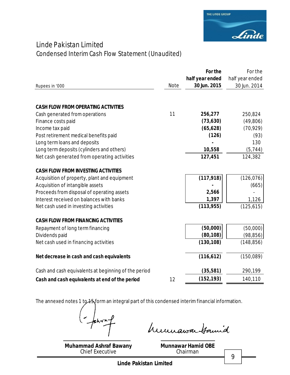

## Linde Pakistan Limited Condensed Interim Cash Flow Statement *(Unaudited)*

|                                                      |             | For the         | For the         |
|------------------------------------------------------|-------------|-----------------|-----------------|
|                                                      |             | half year ended | half year ended |
| Rupees in '000                                       | <b>Note</b> | 30 Jun. 2015    | 30 Jun. 2014    |
|                                                      |             |                 |                 |
| <b>CASH FLOW FROM OPERATING ACTIVITIES</b>           |             |                 |                 |
| Cash generated from operations                       | 11          | 256,277         | 250,824         |
| Finance costs paid                                   |             | (73, 630)       | (49,806)        |
| Income tax paid                                      |             | (65, 628)       | (70, 929)       |
| Post retirement medical benefits paid                |             | (126)           | (93)            |
| Long term loans and deposits                         |             |                 | 130             |
| Long term deposits (cylinders and others)            |             | 10,558          | (5, 744)        |
| Net cash generated from operating activities         |             | 127,451         | 124,382         |
| <b>CASH FLOW FROM INVESTING ACTIVITIES</b>           |             |                 |                 |
| Acquisition of property, plant and equipment         |             | (117, 918)      | (126, 076)      |
| Acquisition of intangible assets                     |             |                 | (665)           |
| Proceeds from disposal of operating assets           |             | 2,566           |                 |
| Interest received on balances with banks             |             | 1,397           | 1,126           |
| Net cash used in investing activities                |             | (113, 955)      | (125, 615)      |
| <b>CASH FLOW FROM FINANCING ACTIVITIES</b>           |             |                 |                 |
| Repayment of long term financing                     |             | (50,000)        | (50,000)        |
| Dividends paid                                       |             | (80, 108)       | (98, 856)       |
| Net cash used in financing activities                |             | (130, 108)      | (148, 856)      |
| Net decrease in cash and cash equivalents            |             | (116, 612)      | (150,089)       |
| Cash and cash equivalents at beginning of the period |             | (35, 581)       | 290,199         |
| Cash and cash equivalents at end of the period       | 12          | (152, 193)      | 140,110         |

The annexed notes 1 to  $+5$  form an integral part of this condensed interim financial information.

sh- $\sim$ 

**Muhammad Ashraf Bawany** Chief Executive

humawa tamid

**Munnawar Hamid OBE** Chairman

9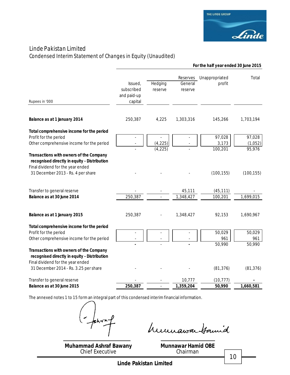

## Linde Pakistan Limited

Condensed Interim Statement of Changes in Equity *(Unaudited)*

|                                                                                                                                                                                                            | For the half year ended 30 June 2015            |                      |                                |                            |                             |
|------------------------------------------------------------------------------------------------------------------------------------------------------------------------------------------------------------|-------------------------------------------------|----------------------|--------------------------------|----------------------------|-----------------------------|
| Rupees in '000                                                                                                                                                                                             | Issued,<br>subscribed<br>and paid-up<br>capital | Hedging<br>reserve   | Reserves<br>General<br>reserve | Unappropriated<br>profit   | Total                       |
| Balance as at 1 January 2014                                                                                                                                                                               | 250,387                                         | 4,225                | 1,303,316                      | 145,266                    | 1,703,194                   |
| Total comprehensive income for the period<br>Profit for the period<br>Other comprehensive income for the period<br>Transactions with owners of the Company                                                 |                                                 | (4, 225)<br>(4, 225) |                                | 97,028<br>3,173<br>100,201 | 97,028<br>(1,052)<br>95,976 |
| recognised directly in equity - Distribution<br>Final dividend for the year ended<br>31 December 2013 - Rs. 4 per share                                                                                    |                                                 |                      |                                | (100, 155)                 | (100, 155)                  |
| Transfer to general reserve<br>Balance as at 30 June 2014                                                                                                                                                  | 250,387                                         |                      | 45,111<br>1,348,427            | (45, 111)<br>100,201       | 1,699,015                   |
| Balance as at 1 January 2015                                                                                                                                                                               | 250,387                                         |                      | 1,348,427                      | 92,153                     | 1,690,967                   |
| Total comprehensive income for the period<br>Profit for the period<br>Other comprehensive income for the period<br>Transactions with owners of the Company<br>recognised directly in equity - Distribution |                                                 |                      |                                | 50,029<br>961<br>50,990    | 50,029<br>961<br>50,990     |
| Final dividend for the year ended<br>31 December 2014 - Rs. 3.25 per share                                                                                                                                 |                                                 |                      |                                | (81, 376)                  | (81, 376)                   |
| Transfer to general reserve<br>Balance as at 30 June 2015                                                                                                                                                  | 250,387                                         |                      | 10,777<br>1,359,204            | (10, 777)<br>50,990        | 1,660,581                   |

The annexed notes 1 to 15 form an integral part of this condensed interim financial information.

 $shr$ 

humawa tamid

**Muhammad Ashraf Bawany** Chief Executive

**Munnawar Hamid OBE** Chairman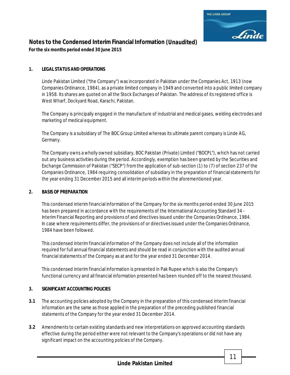

## **Notes to the Condensed Interim Financial Information** *(Unaudited)*

*For the six months period ended 30 June 2015*

### **1. LEGAL STATUS AND OPERATIONS**

Linde Pakistan Limited ("the Company") was incorporated in Pakistan under the Companies Act, 1913 (now Companies Ordinance, 1984), as a private limited company in 1949 and converted into a public limited company in 1958. Its shares are quoted on all the Stock Exchanges of Pakistan. The address of its registered office is West Wharf, Dockyard Road, Karachi, Pakistan.

The Company is principally engaged in the manufacture of industrial and medical gases, welding electrodes and marketing of medical equipment.

The Company is a subsidiary of The BOC Group Limited whereas its ultimate parent company is Linde AG, Germany.

The Company owns a wholly owned subsidiary, BOC Pakistan (Private) Limited ("BOCPL"), which has not carried out any business activities during the period. Accordingly, exemption has been granted by the Securities and Exchange Commission of Pakistan ("SECP") from the application of sub-section (1) to (7) of section 237 of the Companies Ordinance, 1984 requiring consolidation of subsidiary in the preparation of financial statements for the year ending 31 December 2015 and all interim periods within the aforementioned year.

### **2. BASIS OF PREPARATION**

This condensed interim financial information of the Company for the six months period ended 30 June 2015 has been prepared in accordance with the requirements of the International Accounting Standard 34 -Interim Financial Reporting and provisions of and directives issued under the Companies Ordinance, 1984. In case where requirements differ, the provisions of or directives issued under the Companies Ordinance, 1984 have been followed.

This condensed interim financial information of the Company does not include all of the information required for full annual financial statements and should be read in conjunction with the audited annual financial statements of the Company as at and for the year ended 31 December 2014.

This condensed interim financial information is presented in Pak Rupee which is also the Company's functional currency and all financial information presented has been rounded off to the nearest thousand.

### **3. SIGNIFICANT ACCOUNTING POLICIES**

- **3.1** The accounting policies adopted by the Company in the preparation of this condensed interim financial information are the same as those applied in the preparation of the preceding published financial statements of the Company for the year ended 31 December 2014.
- **3.2** Amendments to certain existing standards and new interpretations on approved accounting standards effective during the period either were not relevant to the Company's operations or did not have any significant impact on the accounting policies of the Company.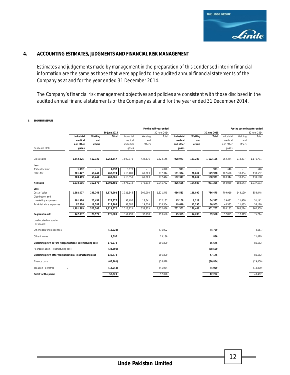

### **4. ACCOUNTING ESTIMATES, JUDGMENTS AND FINANCIAL RISK MANAGEMENT**

Estimates and judgements made by management in the preparation of this condensed interim financial information are the same as those that were applied to the audited annual financial statements of the Company as at and for the year ended 31 December 2014.

The Company's financial risk management objectives and policies are consistent with those disclosed in the audited annual financial statements of the Company as at and for the year ended 31 December 2014.

#### **5. SEGMENT RESULTS**

|                                                             |                                           |                          |                    |                                    |                          | For the half year ended |                                           |                          |                  |                                           |                          | For the second quarter ended |
|-------------------------------------------------------------|-------------------------------------------|--------------------------|--------------------|------------------------------------|--------------------------|-------------------------|-------------------------------------------|--------------------------|------------------|-------------------------------------------|--------------------------|------------------------------|
|                                                             |                                           |                          | 30 June 2015       |                                    |                          | 30 June 2014            |                                           |                          | 30 June 2015     |                                           |                          | 30 June 2014                 |
|                                                             | <b>Industrial</b><br>medical<br>and other | Welding<br>and<br>others | <b>Total</b>       | Industrial<br>medical<br>and other | Welding<br>and<br>others | Total                   | <b>Industrial</b><br>medical<br>and other | Welding<br>and<br>others | Total            | <b>Industrial</b><br>medical<br>and other | Welding<br>and<br>others | Total                        |
| Rupees in '000                                              | gases                                     |                          |                    | gases                              |                          |                         | gases                                     |                          |                  | gases                                     |                          |                              |
| Gross sales                                                 | 1,842,025                                 | 412,322                  | 2,254,347          | 1,890,770                          | 432,376                  | 2,323,146               | 928,973                                   | 193,223                  | 1,122,196        | 962,374                                   | 214,397                  | 1,176,771                    |
| Less:                                                       |                                           |                          |                    |                                    |                          |                         |                                           |                          |                  |                                           |                          |                              |
| Trade discount                                              | 1,992                                     |                          | 1,992              | 5,070                              |                          | 5,070                   | 993                                       |                          | 993              | 646                                       |                          | 646                          |
| Sales tax                                                   | 201,427                                   | 59,447                   | 260,874            | 210,481                            | 61,863                   | 272,344                 | 101,324                                   | 28,614                   | 129,938          | 107,698                                   | 30,854                   | 138,552                      |
|                                                             | 203,419                                   | 59,447                   | 262,866            | 215,551                            | 61,863                   | 277,414                 | 102,317                                   | 28,614                   | 130,931          | 108,344                                   | 30,854                   | 139,198                      |
| Net sales                                                   | 1,638,606                                 | 352,875                  | 1,991,481          | 1,675,219                          | 370,513                  | 2,045,732               | 826,656                                   | 164,609                  | 991,265          | 854,030                                   | 183,543                  | 1,037,573                    |
| Less:                                                       |                                           |                          |                    |                                    |                          |                         |                                           |                          |                  |                                           |                          |                              |
| Cost of sales                                               | 1,292,027                                 | 283,265                  | 1,575,292          | 1,321,545                          | 300,000                  | 1,621,545               | 656,583                                   | 129,892                  | 786,475          | 709,919                                   | 143,129                  | 853,048                      |
| Distribution and                                            |                                           |                          |                    |                                    |                          |                         |                                           |                          |                  |                                           |                          |                              |
| marketing expenses<br>Administrative expenses               | 101,926<br>97,616                         | 20,451<br>19,587         | 122,377<br>117,203 | 93,496<br>98,680                   | 18,641<br>19,674         | 112,137<br>118,354      | 45,108<br>49,610                          | 9,219<br>11,295          | 54,327<br>60,905 | 39,681<br>46,535                          | 11,460<br>11,635         | 51,141<br>58,170             |
|                                                             | 1,491,569                                 | 323,303                  | 1,814,872          | 1,513,721                          | 338,315                  | 1,852,036               | 751,301                                   | 150,406                  | 901,707          | 796,135                                   | 166,224                  | 962,359                      |
| Segment result                                              | 147,037                                   | 29,572                   | 176,609            | 161,498                            | 32,198                   | 193,696                 | 75,355                                    | 14,203                   | 89,558           | 57,895                                    | 17,319                   | 75,214                       |
| Unallocated corporate<br>expenses:                          |                                           |                          |                    |                                    |                          |                         |                                           |                          |                  |                                           |                          |                              |
| Other operating expenses                                    |                                           |                          | (10, 928)          |                                    |                          | (16,992)                |                                           |                          | (4, 769)         |                                           |                          | (9,661)                      |
| Other income                                                |                                           |                          | 9,597              |                                    |                          | 25,186                  |                                           |                          | 886              |                                           |                          | 21,029                       |
| Operating profit before reorganisation / restructuring cost |                                           |                          | 175,278            |                                    |                          | 201,890                 |                                           |                          | 85,675           |                                           |                          | 86,582                       |
| Reorganisation / restructuring cost                         |                                           |                          | (38, 500)          |                                    |                          |                         |                                           |                          | (38, 500)        |                                           |                          |                              |
| Operating profit after reorganisation / restructuring cost  |                                           |                          | 136,778            |                                    |                          | 201,890                 |                                           |                          | 47,175           |                                           |                          | 86,582                       |
| Finance costs                                               |                                           |                          | (67, 701)          |                                    |                          | (58, 878)               |                                           |                          | (30, 864)        |                                           |                          | (29,050)                     |
| $\overline{7}$<br>Taxation - deferred                       |                                           |                          | (19, 048)          |                                    |                          | (45,984)                |                                           |                          | (4,059)          |                                           |                          | (14,070)                     |
| Profit for the period                                       |                                           |                          | 50,029             |                                    |                          | 97.028                  |                                           |                          | 12,252           |                                           |                          | 43,462                       |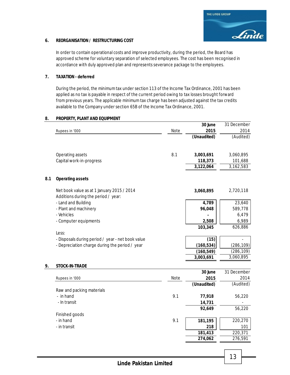#### **6. REORGANISATION / RESTRUCTURING COST**

In order to contain operational costs and improve productivity, during the period, the Board has approved scheme for voluntary separation of selected employees. The cost has been recognised in accordance with duly approved plan and represents severance package to the employees.

#### **7. TAXATION - deferred**

During the period, the minimum tax under section 113 of the Income Tax Ordinance, 2001 has been applied as no tax is payable in respect of the current period owing to tax losses brought forward from previous years. The applicable minimum tax charge has been adjusted against the tax credits available to the Company under section 65B of the Income Tax Ordinance, 2001.

#### **8. PROPERTY, PLANT AND EQUIPMENT**

|     |                                                                                   |      | 30 June     | 31 December |
|-----|-----------------------------------------------------------------------------------|------|-------------|-------------|
|     | Rupees in '000                                                                    | Note | 2015        | 2014        |
|     |                                                                                   |      | (Unaudited) | (Audited)   |
|     |                                                                                   |      |             |             |
|     | Operating assets                                                                  | 8.1  | 3,003,691   | 3,060,895   |
|     | Capital work-in-progress                                                          |      | 118,373     | 101,688     |
|     |                                                                                   |      | 3,122,064   | 3,162,583   |
| 8.1 | <b>Operating assets</b>                                                           |      |             |             |
|     | Net book value as at 1 January 2015 / 2014<br>Additions during the period / year: |      | 3,060,895   | 2,720,118   |
|     | - Land and Building                                                               |      | 4,789       | 23,640      |
|     | - Plant and machinery                                                             |      | 96,048      | 589,778     |
|     | - Vehicles                                                                        |      |             | 6,479       |
|     | - Computer equipments                                                             |      | 2,508       | 6,989       |
|     |                                                                                   |      | 103,345     | 626,886     |
|     | Less:                                                                             |      |             |             |
|     | - Disposals during period / year - net book value                                 |      | (15)        |             |
|     | - Depreciation charge during the period / year                                    |      | (160, 534)  | (286, 109)  |
|     |                                                                                   |      | (160, 549)  | (286, 109)  |
|     |                                                                                   |      | 3,003,691   | 3,060,895   |
| 9.  | STOCK-IN-TRADE                                                                    |      |             |             |
|     |                                                                                   |      | 30 June     | 31 December |
|     | Rupees in '000                                                                    | Note | 2015        | 2014        |
|     |                                                                                   |      | (Unaudited) | (Audited)   |
|     | Raw and packing materials                                                         |      |             |             |
|     | - in hand                                                                         | 9.1  | 77,918      | 56,220      |
|     | - In transit                                                                      |      | 14,731      |             |

Finished goods - in hand

- in transit

**Linde Pakistan Limited**

13

 **92,649** 56,220

**218** 101  **181,413** 220,371  **274,062** 276,591

*9.1* **181,195** 220,270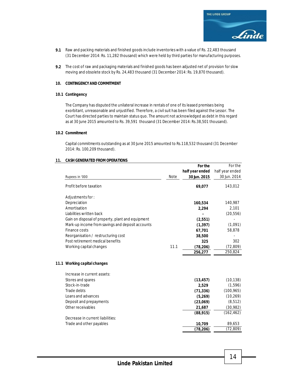- **9.1** Raw and packing materials and finished goods include inventories with a value of Rs. 22,483 thousand (31 December 2014: Rs. 11,282 thousand) which were held by third parties for manufacturing purposes.
- **9.2** The cost of raw and packaging materials and finished goods has been adjusted net of provision for slow moving and obsolete stock by Rs. 24,483 thousand (31 December 2014: Rs. 19,870 thousand).

#### **10. CONTINGENCY AND COMMITMENT**

#### **10.1 Contingency**

The Company has disputed the unilateral increase in rentals of one of its leased premises being exorbitant, unreasonable and unjustified. Therefore, a civil suit has been filed against the Lessor. The Court has directed parties to maintain status quo. The amount not acknowledged as debt in this regard as at 30 June 2015 amounted to Rs. 39,591 thousand (31 December 2014: Rs.38,501 thousand).

#### **10.2 Commitment**

Capital commitments outstanding as at 30 June 2015 amounted to Rs.118,532 thousand (31 December 2014: Rs. 100,209 thousand).

#### **11. CASH GENERATED FROM OPERATIONS**

|                                                   |             | For the         | For the         |
|---------------------------------------------------|-------------|-----------------|-----------------|
|                                                   |             | half year ended | half year ended |
| Rupees in '000                                    | <b>Note</b> | 30 Jun. 2015    | 30 Jun. 2014    |
| Profit before taxation                            |             | 69,077          | 143,012         |
| Adjustments for:                                  |             |                 |                 |
| Depreciation                                      |             | 160,534         | 140,987         |
| Amortisation                                      |             | 2,294           | 2,101           |
| Liabilities written back                          |             |                 | (20, 556)       |
| Gain on disposal of property, plant and equipment |             | (2, 551)        |                 |
| Mark-up income from savings and deposit accounts  |             | (1, 397)        | (1,091)         |
| Finance costs                                     |             | 67,701          | 58,878          |
| Reorganisation / restructuring cost               |             | 38,500          |                 |
| Post retirement medical benefits                  |             | 325             | 302             |
| Working capital changes                           | 11.1        | (78, 206)       | (72, 809)       |
|                                                   |             | 256,277         | 250,824         |
| 11.1 Working capital changes                      |             |                 |                 |
| Increase in current assets:                       |             |                 |                 |
| Stores and spares                                 |             | (13, 457)       | (10, 138)       |
| Stock-in-trade                                    |             | 2,529           | (1, 596)        |
| Trade debts                                       |             | (71, 336)       | (100, 965)      |
| Loans and advances                                |             | (5,269)         | (10, 269)       |
| Deposit and prepayments                           |             | (23,069)        | (8, 512)        |
| Other receivables                                 |             | 21,687          | (30, 982)       |
|                                                   |             | (88, 915)       | (162, 462)      |
| Decrease in current liabilities:                  |             |                 |                 |
| Trade and other payables                          |             | 10,709          | 89,653          |
|                                                   |             | (78, 206)       | (72, 809)       |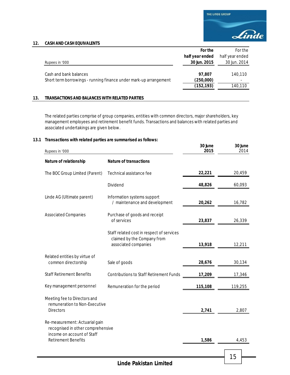

**30 June 30 June**

#### **12. CASH AND CASH EQUIVALENTS**

|                                                                                             | For the                           | For the                 |
|---------------------------------------------------------------------------------------------|-----------------------------------|-------------------------|
|                                                                                             | half year ended                   | half year ended         |
| Rupees in '000                                                                              | 30 Jun. 2015                      | 30 Jun. 2014            |
| Cash and bank balances<br>Short term borrowings - running finance under mark-up arrangement | 97.807<br>(250,000)<br>(152, 193) | 140.110<br>۰<br>140,110 |

#### **13. TRANSACTIONS AND BALANCES WITH RELATED PARTIES**

The related parties comprise of group companies, entities with common directors, major shareholders, key management employees and retirement benefit funds. Transactions and balances with related parties and associated undertakings are given below.

#### **13.1 Transactions with related parties are summarised as follows:**

| Rupees in '000                                                                                    |                                                                                                  | 2015    | 2014    |
|---------------------------------------------------------------------------------------------------|--------------------------------------------------------------------------------------------------|---------|---------|
| Nature of relationship                                                                            | <b>Nature of transactions</b>                                                                    |         |         |
| The BOC Group Limited (Parent)                                                                    | Technical assistance fee                                                                         | 22,221  | 20,459  |
|                                                                                                   | Dividend                                                                                         | 48,826  | 60,093  |
| Linde AG (Ultimate parent)                                                                        | Information systems support<br>/ maintenance and development                                     | 20,262  | 16,782  |
| <b>Associated Companies</b>                                                                       | Purchase of goods and receipt<br>of services                                                     | 23,837  | 26,339  |
|                                                                                                   | Staff related cost in respect of services<br>claimed by the Company from<br>associated companies | 13,918  | 12,211  |
| Related entities by virtue of<br>common directorship                                              | Sale of goods                                                                                    | 28,676  | 30,134  |
| <b>Staff Retirement Benefits</b>                                                                  | <b>Contributions to Staff Retirement Funds</b>                                                   | 17,209  | 17,346  |
| Key management personnel                                                                          | Remuneration for the period                                                                      | 115,108 | 119,255 |
| Meeting fee to Directors and<br>remuneration to Non-Executive<br><b>Directors</b>                 |                                                                                                  | 2,741   | 2,807   |
| Re-measurement: Actuarial gain<br>recognised in other comprehensive<br>income on account of Staff |                                                                                                  |         |         |
| <b>Retirement Benefits</b>                                                                        |                                                                                                  | 1,586   | 4,453   |
|                                                                                                   |                                                                                                  |         | 15      |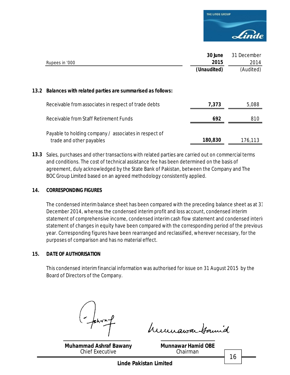

|                                                                                   | 30 June     | 31 December |
|-----------------------------------------------------------------------------------|-------------|-------------|
| Rupees in '000                                                                    | 2015        | 2014        |
|                                                                                   | (Unaudited) | (Audited)   |
| 13.2 Balances with related parties are summarised as follows:                     |             |             |
| Receivable from associates in respect of trade debts                              | 7,373       | 5,088       |
| Receivable from Staff Retirement Funds                                            | 692         | 810         |
| Payable to holding company / associates in respect of<br>trade and other payables | 180,830     | 176,113     |

**13.3** Sales, purchases and other transactions with related parties are carried out on commercial terms and conditions. The cost of technical assistance fee has been determined on the basis of agreement, duly acknowledged by the State Bank of Pakistan, between the Company and The BOC Group Limited based on an agreed methodology consistently applied.

### **14. CORRESPONDING FIGURES**

The condensed interim balance sheet has been compared with the preceding balance sheet as at 31 December 2014, whereas the condensed interim profit and loss account, condensed interim statement of comprehensive income, condensed interim cash flow statement and condensed interim statement of changes in equity have been compared with the corresponding period of the previous year. Corresponding figures have been rearranged and reclassified, wherever necessary, for the purposes of comparison and has no material effect.

### **15. DATE OF AUTHORISATION**

This condensed interim financial information was authorised for issue on 31 August 2015 by the Board of Directors of the Company.

**Muhammad Ashraf Bawany** Chief Executive

humawa Hamid

**Munnawar Hamid OBE** Chairman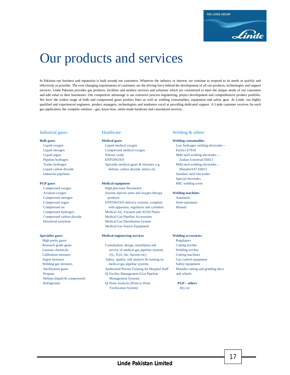

# Our products and services

In Pakistan our business and reputation is built around our customers. Whatever the industry or interest, we continue to respond to its needs as quickly and effectively as possible. The ever-changing requirements of customers are the driving force behind the development of all our products, technologies and support services. Linde Pakistan provides gas products, facilities and turnkey services and solutions which are customized to meet the unique needs of our customers and add value to their businesses. Our competitive advantage is our extensive process engineering, project development and comprehensive product portfolio. We have the widest range of bulk and compressed gases product lines as well as welding consumables, equipment and safety gear. At Linde, our highly qualified and experienced engineers, product managers, technologists and marketers excel at providing dedicated support. A Linde customer receives for each gas application, the complete solution – gas, know-how, tailor-made hardware and customized services.

Compressed oxygen High precision flowmeters

High purity gases Regulators **Calibration mixtures** Helium (liquid & compressed) Management System)

 Liquid nitrogen Compressed medical oxygen Fortrex E7018 Liquid argon Nitrous oxide Mild steel welding electrodes – Pipeline hydrogen ENTONOX<sup>®</sup> ENTONOX<sup>®</sup> Zodian Universal E6013 Trailer hydrogen Specialty medical gases & mixtures e.g. Mild steel welding electrodes – Liquid carbon dioxide helium, carbon dioxide, heliox etc. Matador®47 E6013

 Aviation oxygen Suction injector units and oxygen therapy **Welding machines** Compressed nitrogen products Automatic Compressed argon ENTONOX® delivery systems, complete Semi-automatic Compressed air with apparatus, regulators and cylinders. Manual Compressed hydrogen Medical Air, Vacuum and AGSS Plants Compressed carbon dioxide Medical Gas Pipeline Accessories Dissolved acetylene Medical Gas Distribution System Medical Gas Source Equipment

#### **Speciality gases Medical engineering services Welding accessories**

 Research grade gases Consultation, design, installation and Cutting torches Gaseous chemicals service of medical gas pipeline systems Welding torches  $(O_2, N_2O, Air, Section etc)$  Cutting machines Argon mixtures Safety, quality, risk analysis & training on Gas control equipment Welding gas mixtures medical gas pipeline systems Safety equipment Sterilization gases Authorized Person Training for Hospital Staff Matador cutting and grinding discs Propane Qi Facility Management (Gas Pipeline and wheels Refrigerants Qi Point Analysis (Point to Point **PGP – others** Verification System) Dry ice

#### Industrial gases **Healthcare** Healthcare Welding & others

#### **Bulk gases Medical gases Welding consumables**

 Liquid oxygen Liquid medical oxygen Low hydrogen welding electrodes – Industrial pipelines Stainless steel electrodes Special electrodes **PGP gases Medical equipment** MIG welding wires